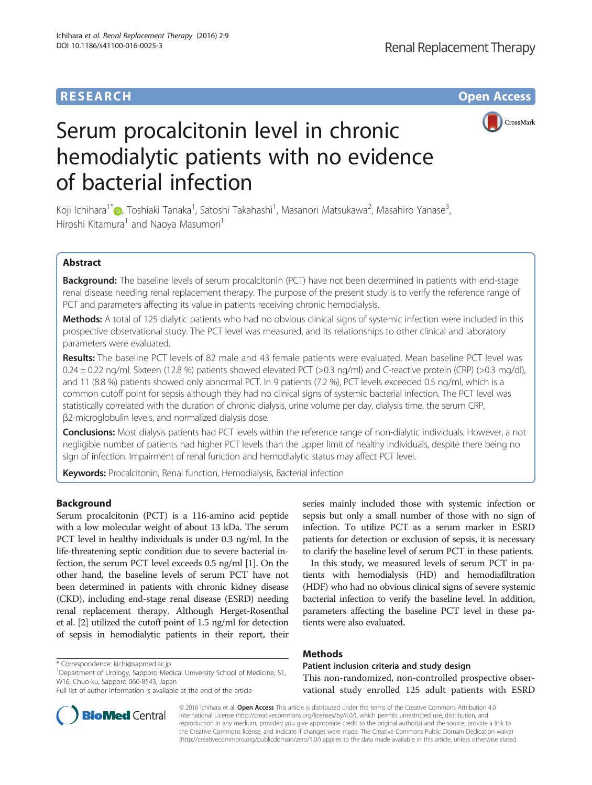# **RESEARCH CHE Open Access**



# Serum procalcitonin level in chronic hemodialytic patients with no evidence of bacterial infection

Koji Ichihara<sup>1\*</sup>�[,](http://orcid.org/0000-0002-4651-1469) Toshiaki Tanaka<sup>1</sup>, Satoshi Takahashi<sup>1</sup>, Masanori Matsukawa<sup>2</sup>, Masahiro Yanase<sup>3</sup> , Hiroshi Kitamura<sup>1</sup> and Naoya Masumori<sup>1</sup>

# Abstract

Background: The baseline levels of serum procalcitonin (PCT) have not been determined in patients with end-stage renal disease needing renal replacement therapy. The purpose of the present study is to verify the reference range of PCT and parameters affecting its value in patients receiving chronic hemodialysis.

Methods: A total of 125 dialytic patients who had no obvious clinical signs of systemic infection were included in this prospective observational study. The PCT level was measured, and its relationships to other clinical and laboratory parameters were evaluated.

Results: The baseline PCT levels of 82 male and 43 female patients were evaluated. Mean baseline PCT level was 0.24 ± 0.22 ng/ml. Sixteen (12.8 %) patients showed elevated PCT (>0.3 ng/ml) and C-reactive protein (CRP) (>0.3 mg/dl), and 11 (8.8 %) patients showed only abnormal PCT. In 9 patients (7.2 %), PCT levels exceeded 0.5 ng/ml, which is a common cutoff point for sepsis although they had no clinical signs of systemic bacterial infection. The PCT level was statistically correlated with the duration of chronic dialysis, urine volume per day, dialysis time, the serum CRP, β2-microglobulin levels, and normalized dialysis dose.

Conclusions: Most dialysis patients had PCT levels within the reference range of non-dialytic individuals. However, a not negligible number of patients had higher PCT levels than the upper limit of healthy individuals, despite there being no sign of infection. Impairment of renal function and hemodialytic status may affect PCT level.

Keywords: Procalcitonin, Renal function, Hemodialysis, Bacterial infection

# Background

Serum procalcitonin (PCT) is a 116-amino acid peptide with a low molecular weight of about 13 kDa. The serum PCT level in healthy individuals is under 0.3 ng/ml. In the life-threatening septic condition due to severe bacterial infection, the serum PCT level exceeds 0.5 ng/ml [[1\]](#page-5-0). On the other hand, the baseline levels of serum PCT have not been determined in patients with chronic kidney disease (CKD), including end-stage renal disease (ESRD) needing renal replacement therapy. Although Herget-Rosenthal et al. [\[2](#page-5-0)] utilized the cutoff point of 1.5 ng/ml for detection of sepsis in hemodialytic patients in their report, their

\* Correspondence: [kichi@sapmed.ac.jp](mailto:kichi@sapmed.ac.jp) <sup>1</sup>

Department of Urology, Sapporo Medical University School of Medicine, S1, W16, Chuo-ku, Sapporo 060-8543, Japan

series mainly included those with systemic infection or sepsis but only a small number of those with no sign of infection. To utilize PCT as a serum marker in ESRD patients for detection or exclusion of sepsis, it is necessary to clarify the baseline level of serum PCT in these patients.

In this study, we measured levels of serum PCT in patients with hemodialysis (HD) and hemodiafiltration (HDF) who had no obvious clinical signs of severe systemic bacterial infection to verify the baseline level. In addition, parameters affecting the baseline PCT level in these patients were also evaluated.

# Methods

Patient inclusion criteria and study design This non-randomized, non-controlled prospective observational study enrolled 125 adult patients with ESRD

© 2016 Ichihara et al. Open Access This article is distributed under the terms of the Creative Commons Attribution 4.0 International License [\(http://creativecommons.org/licenses/by/4.0/](http://creativecommons.org/licenses/by/4.0/)), which permits unrestricted use, distribution, and reproduction in any medium, provided you give appropriate credit to the original author(s) and the source, provide a link to the Creative Commons license, and indicate if changes were made. The Creative Commons Public Domain Dedication waiver [\(http://creativecommons.org/publicdomain/zero/1.0/](http://creativecommons.org/publicdomain/zero/1.0/)) applies to the data made available in this article, unless otherwise stated.



Full list of author information is available at the end of the article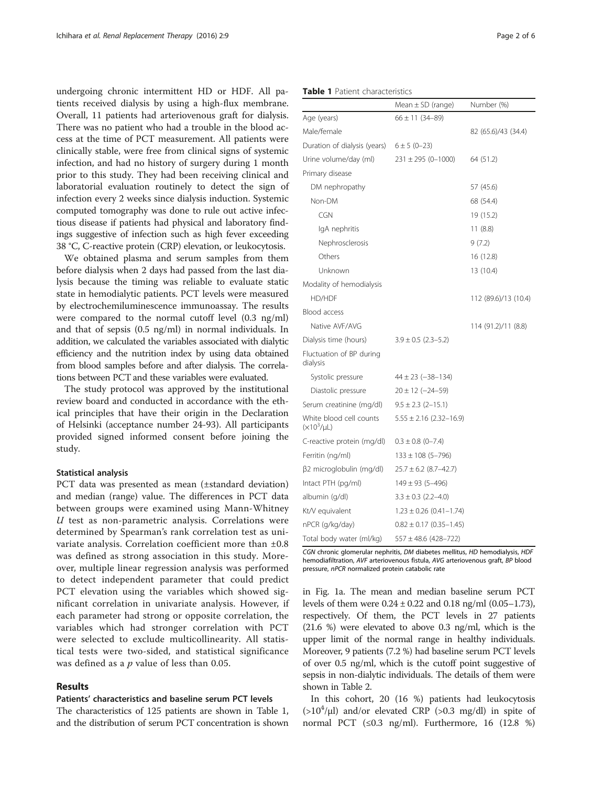undergoing chronic intermittent HD or HDF. All patients received dialysis by using a high-flux membrane. Overall, 11 patients had arteriovenous graft for dialysis. There was no patient who had a trouble in the blood access at the time of PCT measurement. All patients were clinically stable, were free from clinical signs of systemic infection, and had no history of surgery during 1 month prior to this study. They had been receiving clinical and laboratorial evaluation routinely to detect the sign of infection every 2 weeks since dialysis induction. Systemic computed tomography was done to rule out active infectious disease if patients had physical and laboratory findings suggestive of infection such as high fever exceeding 38 °C, C-reactive protein (CRP) elevation, or leukocytosis.

We obtained plasma and serum samples from them before dialysis when 2 days had passed from the last dialysis because the timing was reliable to evaluate static state in hemodialytic patients. PCT levels were measured by electrochemiluminescence immunoassay. The results were compared to the normal cutoff level (0.3 ng/ml) and that of sepsis (0.5 ng/ml) in normal individuals. In addition, we calculated the variables associated with dialytic efficiency and the nutrition index by using data obtained from blood samples before and after dialysis. The correlations between PCT and these variables were evaluated.

The study protocol was approved by the institutional review board and conducted in accordance with the ethical principles that have their origin in the Declaration of Helsinki (acceptance number 24-93). All participants provided signed informed consent before joining the study.

#### Statistical analysis

PCT data was presented as mean (±standard deviation) and median (range) value. The differences in PCT data between groups were examined using Mann-Whitney  $U$  test as non-parametric analysis. Correlations were determined by Spearman's rank correlation test as univariate analysis. Correlation coefficient more than ±0.8 was defined as strong association in this study. Moreover, multiple linear regression analysis was performed to detect independent parameter that could predict PCT elevation using the variables which showed significant correlation in univariate analysis. However, if each parameter had strong or opposite correlation, the variables which had stronger correlation with PCT were selected to exclude multicollinearity. All statistical tests were two-sided, and statistical significance was defined as a  $p$  value of less than 0.05.

# Results

## Patients' characteristics and baseline serum PCT levels

The characteristics of 125 patients are shown in Table 1, and the distribution of serum PCT concentration is shown

| <b>Table 1</b> Patient characteristics |  |
|----------------------------------------|--|
|----------------------------------------|--|

|                                            | Mean $\pm$ SD (range)       | Number (%)           |
|--------------------------------------------|-----------------------------|----------------------|
| Age (years)                                | $66 \pm 11 (34 - 89)$       |                      |
| Male/female                                |                             | 82 (65.6)/43 (34.4)  |
| Duration of dialysis (years)               | $6 \pm 5 (0 - 23)$          |                      |
| Urine volume/day (ml)                      | $231 \pm 295 (0 - 1000)$    | 64 (51.2)            |
| Primary disease                            |                             |                      |
| DM nephropathy                             |                             | 57 (45.6)            |
| Non-DM                                     |                             | 68 (54.4)            |
| CGN                                        |                             | 19 (15.2)            |
| IgA nephritis                              |                             | 11(8.8)              |
| Nephrosclerosis                            |                             | 9(7.2)               |
| Others                                     |                             | 16 (12.8)            |
| Unknown                                    |                             | 13 (10.4)            |
| Modality of hemodialysis                   |                             |                      |
| HD/HDF                                     |                             | 112 (89.6)/13 (10.4) |
| Blood access                               |                             |                      |
| Native AVF/AVG                             |                             | 114 (91.2)/11 (8.8)  |
| Dialysis time (hours)                      | $3.9 \pm 0.5$ (2.3–5.2)     |                      |
| Fluctuation of BP during<br>dialysis       |                             |                      |
| Systolic pressure                          | $44 \pm 23 (-38 - 134)$     |                      |
| Diastolic pressure                         | $20 \pm 12$ (-24-59)        |                      |
| Serum creatinine (mg/dl)                   | $9.5 \pm 2.3$ (2-15.1)      |                      |
| White blood cell counts<br>$(x10^3/\mu L)$ | $5.55 \pm 2.16$ (2.32–16.9) |                      |
| C-reactive protein (mg/dl)                 | $0.3 \pm 0.8$ (0-7.4)       |                      |
| Ferritin (ng/ml)                           | $133 \pm 108$ (5-796)       |                      |
| β2 microglobulin (mg/dl)                   | $25.7 \pm 6.2$ (8.7–42.7)   |                      |
| Intact PTH (pg/ml)                         | $149 \pm 93 (5 - 496)$      |                      |
| albumin (g/dl)                             | $3.3 \pm 0.3$ (2.2-4.0)     |                      |
| Kt/V equivalent                            | $1.23 \pm 0.26$ (0.41-1.74) |                      |
| nPCR (g/kg/day)                            | $0.82 \pm 0.17$ (0.35-1.45) |                      |
| Total body water (ml/kg)                   | $557 \pm 48.6$ (428-722)    |                      |

CGN chronic glomerular nephritis, DM diabetes mellitus, HD hemodialysis, HDF hemodiafiltration, AVF arteriovenous fistula, AVG arteriovenous graft, BP blood pressure, nPCR normalized protein catabolic rate

in Fig. [1a](#page-2-0). The mean and median baseline serum PCT levels of them were  $0.24 \pm 0.22$  and  $0.18$  ng/ml  $(0.05-1.73)$ , respectively. Of them, the PCT levels in 27 patients (21.6 %) were elevated to above 0.3 ng/ml, which is the upper limit of the normal range in healthy individuals. Moreover, 9 patients (7.2 %) had baseline serum PCT levels of over 0.5 ng/ml, which is the cutoff point suggestive of sepsis in non-dialytic individuals. The details of them were shown in Table [2](#page-2-0).

In this cohort, 20 (16 %) patients had leukocytosis  $(>10<sup>4</sup>/\mu l)$  and/or elevated CRP (>0.3 mg/dl) in spite of normal PCT  $(\leq 0.3 \text{ ng/ml})$ . Furthermore, 16  $(12.8 \%)$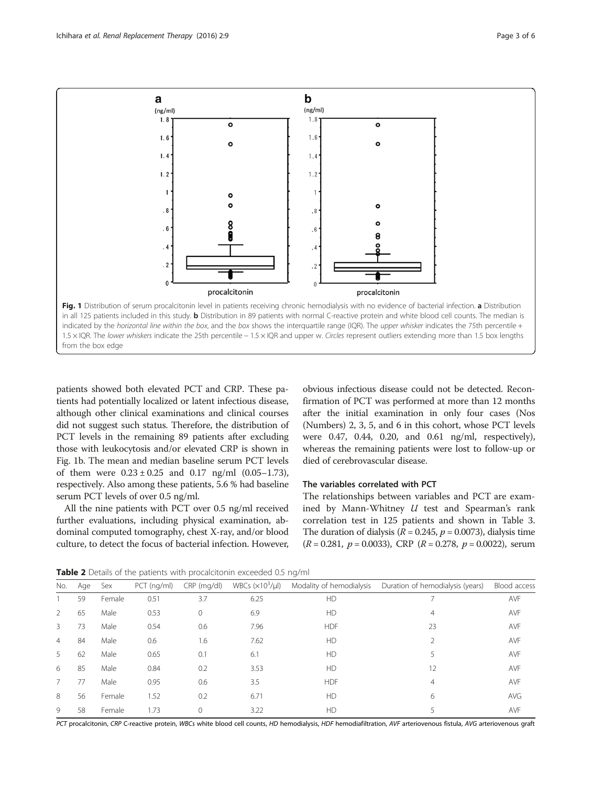<span id="page-2-0"></span>

patients showed both elevated PCT and CRP. These patients had potentially localized or latent infectious disease, although other clinical examinations and clinical courses did not suggest such status. Therefore, the distribution of PCT levels in the remaining 89 patients after excluding those with leukocytosis and/or elevated CRP is shown in Fig. 1b. The mean and median baseline serum PCT levels of them were  $0.23 \pm 0.25$  and  $0.17$  ng/ml  $(0.05-1.73)$ , respectively. Also among these patients, 5.6 % had baseline serum PCT levels of over 0.5 ng/ml.

All the nine patients with PCT over 0.5 ng/ml received further evaluations, including physical examination, abdominal computed tomography, chest X-ray, and/or blood culture, to detect the focus of bacterial infection. However,

obvious infectious disease could not be detected. Reconfirmation of PCT was performed at more than 12 months after the initial examination in only four cases (Nos (Numbers) 2, 3, 5, and 6 in this cohort, whose PCT levels were 0.47, 0.44, 0.20, and 0.61 ng/ml, respectively), whereas the remaining patients were lost to follow-up or died of cerebrovascular disease.

## The variables correlated with PCT

The relationships between variables and PCT are examined by Mann-Whitney  $U$  test and Spearman's rank correlation test in 125 patients and shown in Table [3](#page-3-0). The duration of dialysis ( $R = 0.245$ ,  $p = 0.0073$ ), dialysis time  $(R = 0.281, p = 0.0033)$ , CRP  $(R = 0.278, p = 0.0022)$ , serum

Table 2 Details of the patients with procalcitonin exceeded 0.5 ng/ml

| No. | Age | Sex    | $PCT$ (ng/ml) | CRP (mg/dl) | WBCs $(x103/\mu l)$ | Modality of hemodialysis | Duration of hemodialysis (years) | Blood access |
|-----|-----|--------|---------------|-------------|---------------------|--------------------------|----------------------------------|--------------|
|     | 59  | Female | 0.51          | 3.7         | 6.25                | HD                       |                                  | <b>AVF</b>   |
| 2   | 65  | Male   | 0.53          | 0           | 6.9                 | HD                       | 4                                | <b>AVF</b>   |
| 3   | 73  | Male   | 0.54          | 0.6         | 7.96                | <b>HDF</b>               | 23                               | <b>AVF</b>   |
| 4   | 84  | Male   | 0.6           | 1.6         | 7.62                | HD                       |                                  | <b>AVF</b>   |
| 5   | 62  | Male   | 0.65          | 0.1         | 6.1                 | HD                       | 5                                | <b>AVF</b>   |
| 6   | 85  | Male   | 0.84          | 0.2         | 3.53                | HD                       | 12                               | <b>AVF</b>   |
| 7   | 77  | Male   | 0.95          | 0.6         | 3.5                 | <b>HDF</b>               | 4                                | <b>AVF</b>   |
| 8   | 56  | Female | 1.52          | 0.2         | 6.71                | HD                       | 6                                | AVG          |
| 9   | 58  | Female | 1.73          | 0           | 3.22                | HD                       |                                  | <b>AVF</b>   |

PCT procalcitonin, CRP C-reactive protein, WBCs white blood cell counts, HD hemodialysis, HDF hemodiafiltration, AVF arteriovenous fistula, AVG arteriovenous graft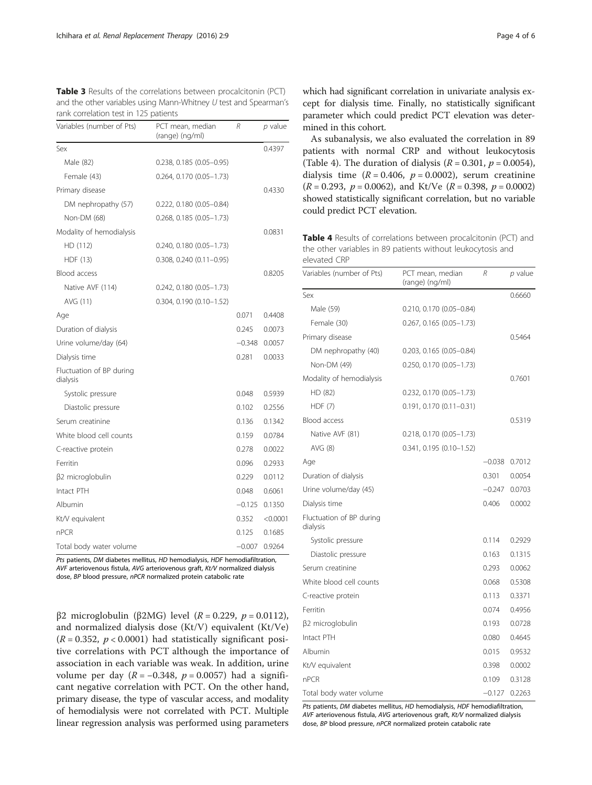<span id="page-3-0"></span>

| <b>Table 3</b> Results of the correlations between procalcitonin (PCT) |
|------------------------------------------------------------------------|
| and the other variables using Mann-Whitney U test and Spearman's       |
| rank correlation test in 125 patients                                  |

| Variables (number of Pts)            | PCT mean, median<br>(range) (ng/ml) | R        | p value  |
|--------------------------------------|-------------------------------------|----------|----------|
| Sex                                  |                                     |          | 0.4397   |
| Male (82)                            | $0.238, 0.185 (0.05 - 0.95)$        |          |          |
| Female (43)                          | $0.264, 0.170 (0.05 - 1.73)$        |          |          |
| Primary disease                      |                                     |          | 0.4330   |
| DM nephropathy (57)                  | $0.222, 0.180 (0.05 - 0.84)$        |          |          |
| Non-DM (68)                          | $0.268, 0.185 (0.05 - 1.73)$        |          |          |
| Modality of hemodialysis             |                                     |          | 0.0831   |
| HD (112)                             | 0.240, 0.180 (0.05-1.73)            |          |          |
| HDF (13)                             | $0.308, 0.240 (0.11 - 0.95)$        |          |          |
| Blood access                         |                                     |          | 0.8205   |
| Native AVF (114)                     | $0.242, 0.180 (0.05 - 1.73)$        |          |          |
| AVG (11)                             | 0.304, 0.190 (0.10-1.52)            |          |          |
| Age                                  |                                     | 0.071    | 0.4408   |
| Duration of dialysis                 |                                     | 0.245    | 0.0073   |
| Urine volume/day (64)                |                                     | $-0.348$ | 0.0057   |
| Dialysis time                        |                                     | 0.281    | 0.0033   |
| Fluctuation of BP during<br>dialysis |                                     |          |          |
| Systolic pressure                    |                                     | 0.048    | 0.5939   |
| Diastolic pressure                   |                                     | 0.102    | 0.2556   |
| Serum creatinine                     |                                     | 0.136    | 0.1342   |
| White blood cell counts              |                                     | 0.159    | 0.0784   |
| C-reactive protein                   |                                     | 0.278    | 0.0022   |
| Ferritin                             |                                     | 0.096    | 0.2933   |
| β2 microglobulin                     |                                     | 0.229    | 0.0112   |
| Intact PTH                           |                                     | 0.048    | 0.6061   |
| Albumin                              |                                     | $-0.125$ | 0.1350   |
| Kt/V equivalent                      |                                     | 0.352    | < 0.0001 |
| n <sub>PCR</sub>                     |                                     | 0.125    | 0.1685   |
| Total body water volume              |                                     | $-0.007$ | 0.9264   |

Pts patients, DM diabetes mellitus, HD hemodialysis, HDF hemodiafiltration, AVF arteriovenous fistula, AVG arteriovenous graft, Kt/V normalized dialysis dose, BP blood pressure, nPCR normalized protein catabolic rate

β2 microglobulin (β2MG) level (R = 0.229,  $p = 0.0112$ ), and normalized dialysis dose (Kt/V) equivalent (Kt/Ve)  $(R = 0.352, p < 0.0001)$  had statistically significant positive correlations with PCT although the importance of association in each variable was weak. In addition, urine volume per day ( $R = -0.348$ ,  $p = 0.0057$ ) had a significant negative correlation with PCT. On the other hand, primary disease, the type of vascular access, and modality of hemodialysis were not correlated with PCT. Multiple linear regression analysis was performed using parameters which had significant correlation in univariate analysis except for dialysis time. Finally, no statistically significant parameter which could predict PCT elevation was determined in this cohort.

As subanalysis, we also evaluated the correlation in 89 patients with normal CRP and without leukocytosis (Table 4). The duration of dialysis ( $R = 0.301$ ,  $p = 0.0054$ ), dialysis time  $(R = 0.406, p = 0.0002)$ , serum creatinine  $(R = 0.293, p = 0.0062)$ , and Kt/Ve  $(R = 0.398, p = 0.0002)$ showed statistically significant correlation, but no variable could predict PCT elevation.

Table 4 Results of correlations between procalcitonin (PCT) and the other variables in 89 patients without leukocytosis and elevated CRP

| Variables (number of Pts)            | PCT mean, median<br>(range) (ng/ml) | R        | p value |
|--------------------------------------|-------------------------------------|----------|---------|
| Sex                                  |                                     |          | 0.6660  |
| Male (59)                            | $0.210, 0.170 (0.05 - 0.84)$        |          |         |
| Female (30)                          | $0.267, 0.165 (0.05 - 1.73)$        |          |         |
| Primary disease                      |                                     |          | 0.5464  |
| DM nephropathy (40)                  | $0.203, 0.165 (0.05 - 0.84)$        |          |         |
| Non-DM (49)                          | 0.250, 0.170 (0.05-1.73)            |          |         |
| Modality of hemodialysis             |                                     |          | 0.7601  |
| HD (82)                              | $0.232, 0.170 (0.05 - 1.73)$        |          |         |
| HDF(7)                               | $0.191, 0.170 (0.11 - 0.31)$        |          |         |
| Blood access                         |                                     |          | 0.5319  |
| Native AVF (81)                      | 0.218, 0.170 (0.05-1.73)            |          |         |
| AVG (8)                              | $0.341, 0.195 (0.10 - 1.52)$        |          |         |
| Age                                  |                                     | $-0.038$ | 0.7012  |
| Duration of dialysis                 |                                     | 0.301    | 0.0054  |
| Urine volume/day (45)                |                                     | $-0.247$ | 0.0703  |
| Dialysis time                        |                                     | 0.406    | 0.0002  |
| Fluctuation of BP during<br>dialysis |                                     |          |         |
| Systolic pressure                    |                                     | 0.114    | 0.2929  |
| Diastolic pressure                   |                                     | 0.163    | 0.1315  |
| Serum creatinine                     |                                     | 0.293    | 0.0062  |
| White blood cell counts              |                                     | 0.068    | 0.5308  |
| C-reactive protein                   |                                     | 0.113    | 0.3371  |
| Ferritin                             |                                     | 0.074    | 0.4956  |
| β2 microglobulin                     |                                     | 0.193    | 0.0728  |
| Intact PTH                           |                                     | 0.080    | 0.4645  |
| Albumin                              |                                     | 0.015    | 0.9532  |
| Kt/V equivalent                      |                                     | 0.398    | 0.0002  |
| <b>nPCR</b>                          |                                     | 0.109    | 0.3128  |
| Total body water volume              |                                     | $-0.127$ | 0.2263  |

Pts patients, DM diabetes mellitus, HD hemodialysis, HDF hemodiafiltration, AVF arteriovenous fistula, AVG arteriovenous graft, Kt/V normalized dialysis dose, BP blood pressure, nPCR normalized protein catabolic rate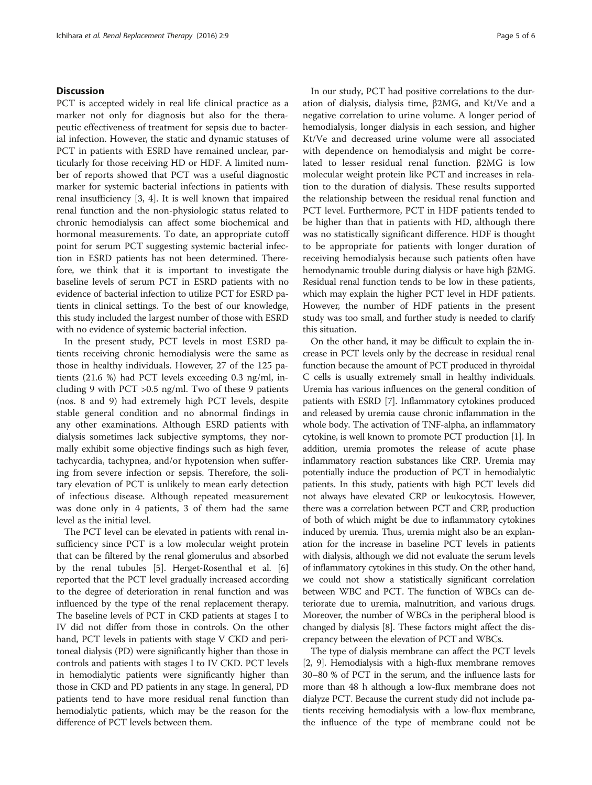# **Discussion**

PCT is accepted widely in real life clinical practice as a marker not only for diagnosis but also for the therapeutic effectiveness of treatment for sepsis due to bacterial infection. However, the static and dynamic statuses of PCT in patients with ESRD have remained unclear, particularly for those receiving HD or HDF. A limited number of reports showed that PCT was a useful diagnostic marker for systemic bacterial infections in patients with renal insufficiency [[3](#page-5-0), [4](#page-5-0)]. It is well known that impaired renal function and the non-physiologic status related to chronic hemodialysis can affect some biochemical and hormonal measurements. To date, an appropriate cutoff point for serum PCT suggesting systemic bacterial infection in ESRD patients has not been determined. Therefore, we think that it is important to investigate the baseline levels of serum PCT in ESRD patients with no evidence of bacterial infection to utilize PCT for ESRD patients in clinical settings. To the best of our knowledge, this study included the largest number of those with ESRD with no evidence of systemic bacterial infection.

In the present study, PCT levels in most ESRD patients receiving chronic hemodialysis were the same as those in healthy individuals. However, 27 of the 125 patients (21.6 %) had PCT levels exceeding 0.3 ng/ml, including 9 with PCT  $>0.5$  ng/ml. Two of these 9 patients (nos. 8 and 9) had extremely high PCT levels, despite stable general condition and no abnormal findings in any other examinations. Although ESRD patients with dialysis sometimes lack subjective symptoms, they normally exhibit some objective findings such as high fever, tachycardia, tachypnea, and/or hypotension when suffering from severe infection or sepsis. Therefore, the solitary elevation of PCT is unlikely to mean early detection of infectious disease. Although repeated measurement was done only in 4 patients, 3 of them had the same level as the initial level.

The PCT level can be elevated in patients with renal insufficiency since PCT is a low molecular weight protein that can be filtered by the renal glomerulus and absorbed by the renal tubules [\[5\]](#page-5-0). Herget-Rosenthal et al. [[6](#page-5-0)] reported that the PCT level gradually increased according to the degree of deterioration in renal function and was influenced by the type of the renal replacement therapy. The baseline levels of PCT in CKD patients at stages I to IV did not differ from those in controls. On the other hand, PCT levels in patients with stage V CKD and peritoneal dialysis (PD) were significantly higher than those in controls and patients with stages I to IV CKD. PCT levels in hemodialytic patients were significantly higher than those in CKD and PD patients in any stage. In general, PD patients tend to have more residual renal function than hemodialytic patients, which may be the reason for the difference of PCT levels between them.

In our study, PCT had positive correlations to the duration of dialysis, dialysis time, β2MG, and Kt/Ve and a negative correlation to urine volume. A longer period of hemodialysis, longer dialysis in each session, and higher Kt/Ve and decreased urine volume were all associated with dependence on hemodialysis and might be correlated to lesser residual renal function. β2MG is low molecular weight protein like PCT and increases in relation to the duration of dialysis. These results supported the relationship between the residual renal function and PCT level. Furthermore, PCT in HDF patients tended to be higher than that in patients with HD, although there was no statistically significant difference. HDF is thought to be appropriate for patients with longer duration of receiving hemodialysis because such patients often have hemodynamic trouble during dialysis or have high β2MG. Residual renal function tends to be low in these patients, which may explain the higher PCT level in HDF patients. However, the number of HDF patients in the present study was too small, and further study is needed to clarify this situation.

On the other hand, it may be difficult to explain the increase in PCT levels only by the decrease in residual renal function because the amount of PCT produced in thyroidal C cells is usually extremely small in healthy individuals. Uremia has various influences on the general condition of patients with ESRD [\[7\]](#page-5-0). Inflammatory cytokines produced and released by uremia cause chronic inflammation in the whole body. The activation of TNF-alpha, an inflammatory cytokine, is well known to promote PCT production [[1](#page-5-0)]. In addition, uremia promotes the release of acute phase inflammatory reaction substances like CRP. Uremia may potentially induce the production of PCT in hemodialytic patients. In this study, patients with high PCT levels did not always have elevated CRP or leukocytosis. However, there was a correlation between PCT and CRP, production of both of which might be due to inflammatory cytokines induced by uremia. Thus, uremia might also be an explanation for the increase in baseline PCT levels in patients with dialysis, although we did not evaluate the serum levels of inflammatory cytokines in this study. On the other hand, we could not show a statistically significant correlation between WBC and PCT. The function of WBCs can deteriorate due to uremia, malnutrition, and various drugs. Moreover, the number of WBCs in the peripheral blood is changed by dialysis [[8](#page-5-0)]. These factors might affect the discrepancy between the elevation of PCT and WBCs.

The type of dialysis membrane can affect the PCT levels [[2](#page-5-0), [9](#page-5-0)]. Hemodialysis with a high-flux membrane removes 30–80 % of PCT in the serum, and the influence lasts for more than 48 h although a low-flux membrane does not dialyze PCT. Because the current study did not include patients receiving hemodialysis with a low-flux membrane, the influence of the type of membrane could not be